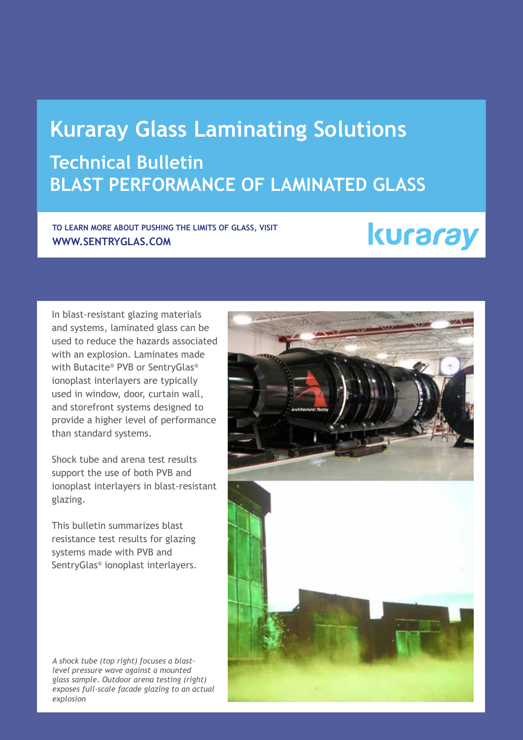### **Kuraray Glass Laminating Solutions Technical Bulletin Blast Performance of Laminated Glass**

**To learn more about pushing the limits of glass, visit www.sentryglas.com**

## kuraray

In blast-resistant glazing materials and systems, laminated glass can be used to reduce the hazards associated with an explosion. Laminates made with Butacite® PVB or SentryGlas® ionoplast interlayers are typically used in window, door, curtain wall, and storefront systems designed to provide a higher level of performance than standard systems.

Shock tube and arena test results support the use of both PVB and ionoplast interlayers in blast-resistant glazing.

This bulletin summarizes blast resistance test results for glazing systems made with PVB and SentryGlas® ionoplast interlayers.

*A shock tube (top right) focuses a blastlevel pressure wave against a mounted glass sample. Outdoor arena testing (right) exposes full-scale facade glazing to an actual explosion*

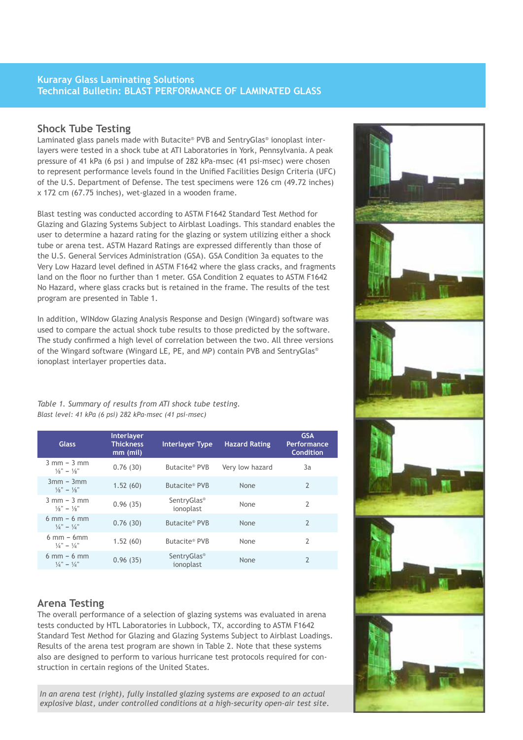#### **Kuraray Glass Laminating Solutions Technical Bulletin: Blast Performance of Laminated Glass**

#### **Shock Tube Testing**

Laminated glass panels made with Butacite® PVB and SentryGlas® ionoplast interlayers were tested in a shock tube at ATI Laboratories in York, Pennsylvania. A peak pressure of 41 kPa (6 psi ) and impulse of 282 kPa-msec (41 psi-msec) were chosen to represent performance levels found in the Unified Facilities Design Criteria (UFC) of the U.S. Department of Defense. The test specimens were 126 cm (49.72 inches) x 172 cm (67.75 inches), wet-glazed in a wooden frame.

Blast testing was conducted according to ASTM F1642 Standard Test Method for Glazing and Glazing Systems Subject to Airblast Loadings. This standard enables the user to determine a hazard rating for the glazing or system utilizing either a shock tube or arena test. ASTM Hazard Ratings are expressed differently than those of the U.S. General Services Administration (GSA). GSA Condition 3a equates to the Very Low Hazard level defined in ASTM F1642 where the glass cracks, and fragments land on the floor no further than 1 meter. GSA Condition 2 equates to ASTM F1642 No Hazard, where glass cracks but is retained in the frame. The results of the test program are presented in Table 1.

In addition, WINdow Glazing Analysis Response and Design (Wingard) software was used to compare the actual shock tube results to those predicted by the software. The study confirmed a high level of correlation between the two. All three versions of the Wingard software (Wingard LE, PE, and MP) contain PVB and SentryGlas® ionoplast interlayer properties data.

*Table 1. Summary of results from ATI shock tube testing. Blast level: 41 kPa (6 psi) 282 kPa-msec (41 psi-msec)*

| <b>Glass</b>                                                         | Interlayer<br><b>Thickness</b><br>$mm$ (mil) | <b>Interlayer Type</b>               | <b>Hazard Rating</b> | <b>GSA</b><br>Performance<br><b>Condition</b> |
|----------------------------------------------------------------------|----------------------------------------------|--------------------------------------|----------------------|-----------------------------------------------|
| $3$ mm $-3$ mm<br>$\frac{1}{8}$ " – $\frac{1}{8}$ "                  | 0.76(30)                                     | Butacite® PVB                        | Very low hazard      | 3a                                            |
| $3mm - 3mm$<br>$\frac{1}{8}$ " – $\frac{1}{8}$ "                     | 1.52(60)                                     | Butacite® PVB                        | None                 | $\overline{2}$                                |
| $3$ mm $-3$ mm<br>$\frac{1}{8}$ " – $\frac{1}{8}$ "                  | 0.96(35)                                     | SentryGlas <sup>®</sup><br>ionoplast | None                 | $\mathfrak{p}$                                |
| $6 \text{ mm} - 6 \text{ mm}$<br>$\frac{1}{4}$ " – $\frac{1}{4}$ "   | 0.76(30)                                     | Butacite® PVB                        | None                 | $\overline{2}$                                |
| $6 \text{ mm}$ – $6 \text{ mm}$<br>$\frac{1}{4}$ " – $\frac{1}{4}$ " | 1.52(60)                                     | Butacite® PVB                        | None                 | $\mathfrak{p}$                                |
| $6$ mm $-6$ mm<br>$\frac{1}{4}$ " – $\frac{1}{4}$ "                  | 0.96(35)                                     | SentryGlas <sup>®</sup><br>ionoplast | None                 | $\overline{2}$                                |

#### **Arena Testing**

The overall performance of a selection of glazing systems was evaluated in arena tests conducted by HTL Laboratories in Lubbock, TX, according to ASTM F1642 Standard Test Method for Glazing and Glazing Systems Subject to Airblast Loadings. Results of the arena test program are shown in Table 2. Note that these systems also are designed to perform to various hurricane test protocols required for construction in certain regions of the United States.

*In an arena test (right), fully installed glazing systems are exposed to an actual explosive blast, under controlled conditions at a high-security open-air test site.*

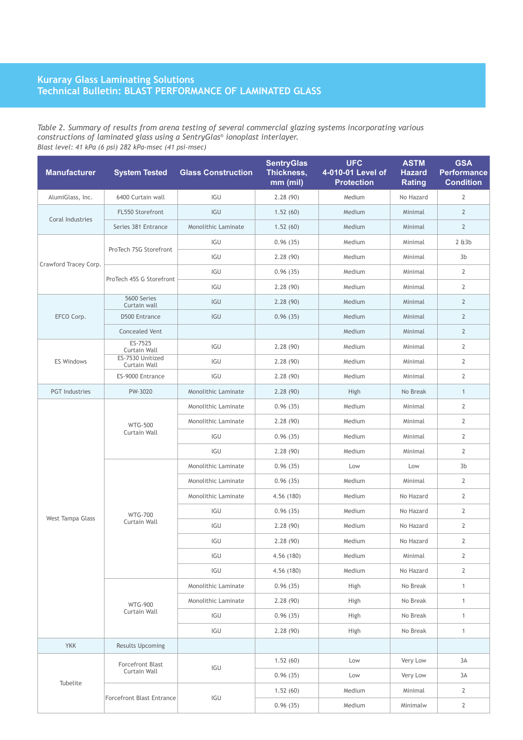#### **Kuraray Glass Laminating Solutions Technical Bulletin: Blast Performance of Laminated Glass**

#### *Table 2. Summary of results from arena testing of several commercial glazing systems incorporating various constructions of laminated glass using a SentryGlas® ionoplast interlayer. Blast level: 41 kPa (6 psi) 282 kPa-msec (41 psi-msec)*

| <b>Manufacturer</b>   | <b>System Tested</b>                                        | <b>Glass Construction</b> | <b>SentryGlas</b><br>Thickness,<br>mm (mil) | <b>UFC</b><br>4-010-01 Level of<br><b>Protection</b> | <b>ASTM</b><br><b>Hazard</b><br><b>Rating</b> | <b>GSA</b><br><b>Performance</b><br><b>Condition</b> |
|-----------------------|-------------------------------------------------------------|---------------------------|---------------------------------------------|------------------------------------------------------|-----------------------------------------------|------------------------------------------------------|
| AlumiGlass, Inc.      | 6400 Curtain wall                                           | IGU                       | 2.28(90)                                    | Medium                                               | No Hazard                                     | $\mathbf{2}$                                         |
| Coral Industries      | FL550 Storefront                                            | IGU                       | 1.52(60)                                    | Medium                                               | Minimal                                       | $\overline{2}$                                       |
|                       | Series 381 Entrance                                         | Monolithic Laminate       | 1.52(60)                                    | Medium                                               | Minimal                                       | $\overline{2}$                                       |
| Crawford Tracey Corp. | ProTech 7SG Storefront                                      | IGU                       | 0.96(35)                                    | Medium                                               | Minimal                                       | 263b                                                 |
|                       |                                                             | IGU                       | 2.28(90)                                    | Medium                                               | Minimal                                       | 3 <sub>b</sub>                                       |
|                       | ProTech 45S G Storefront                                    | IGU                       | 0.96(35)                                    | Medium                                               | Minimal                                       | 2                                                    |
|                       |                                                             | IGU                       | 2.28(90)                                    | Medium                                               | Minimal                                       | $\overline{2}$                                       |
|                       | 5600 Series<br>Curtain wall                                 | IGU                       | 2.28(90)                                    | Medium                                               | Minimal                                       | $\overline{2}$                                       |
| EFCO Corp.            | <b>D500 Entrance</b>                                        | IGU                       | 0.96(35)                                    | Medium                                               | Minimal                                       | $\overline{2}$                                       |
|                       | <b>Concealed Vent</b>                                       |                           |                                             | Medium                                               | Minimal                                       | $\overline{2}$                                       |
| <b>ES Windows</b>     | ES-7525<br>Curtain Wall<br>ES-7530 Unitized<br>Curtain Wall | IGU                       | 2.28(90)                                    | Medium                                               | Minimal                                       | $\overline{2}$                                       |
|                       |                                                             | IGU                       | 2.28(90)                                    | Medium                                               | Minimal                                       | $\mathbf{2}$                                         |
|                       | ES-9000 Entrance                                            | IGU                       | 2.28(90)                                    | Medium                                               | Minimal                                       | $\overline{2}$                                       |
| <b>PGT</b> Industries | PW-3020                                                     | Monolithic Laminate       | 2.28(90)                                    | High                                                 | No Break                                      | $\mathbf{1}$                                         |
|                       | <b>WTG-500</b><br>Curtain Wall                              | Monolithic Laminate       | 0.96(35)                                    | Medium                                               | Minimal                                       | $\mathbf{2}$                                         |
| West Tampa Glass      |                                                             | Monolithic Laminate       | 2.28(90)                                    | Medium                                               | Minimal                                       | $\mathbf{2}$                                         |
|                       |                                                             | IGU                       | 0.96(35)                                    | Medium                                               | Minimal                                       | $\overline{2}$                                       |
|                       |                                                             | IGU                       | 2.28(90)                                    | Medium                                               | Minimal                                       | $\overline{2}$                                       |
|                       | <b>WTG-700</b><br>Curtain Wall                              | Monolithic Laminate       | 0.96(35)                                    | Low                                                  | Low                                           | 3 <sub>b</sub>                                       |
|                       |                                                             | Monolithic Laminate       | 0.96(35)                                    | Medium                                               | Minimal                                       | 2                                                    |
|                       |                                                             | Monolithic Laminate       | 4.56 (180)                                  | Medium                                               | No Hazard                                     | $\overline{2}$                                       |
|                       |                                                             | IGU                       | 0.96(35)                                    | Medium                                               | No Hazard                                     | 2                                                    |
|                       |                                                             | IGU                       | 2.28(90)                                    | Medium                                               | No Hazard                                     | 2                                                    |
|                       |                                                             | IGU                       | 2.28(90)                                    | Medium                                               | No Hazard                                     | $\overline{2}$                                       |
|                       |                                                             | IGU                       | 4.56 (180)                                  | Medium                                               | Minimal                                       | $\overline{2}$                                       |
|                       |                                                             | IGU                       | 4.56 (180)                                  | Medium                                               | No Hazard                                     | $\mathbf{2}$                                         |
|                       | <b>WTG-900</b><br>Curtain Wall                              | Monolithic Laminate       | 0.96(35)                                    | High                                                 | No Break                                      | $\mathbf{1}$                                         |
|                       |                                                             | Monolithic Laminate       | 2.28(90)                                    | High                                                 | No Break                                      | $\mathbf{1}$                                         |
|                       |                                                             | IGU                       | 0.96(35)                                    | High                                                 | No Break                                      | $\mathbf{1}$                                         |
|                       |                                                             | IGU                       | 2.28(90)                                    | High                                                 | No Break                                      | $\mathbf{1}$                                         |
| <b>YKK</b>            | <b>Results Upcoming</b>                                     |                           |                                             |                                                      |                                               |                                                      |
| Tubelite              | Forcefront Blast                                            | IGU                       | 1.52(60)                                    | Low                                                  | Very Low                                      | 3A                                                   |
|                       | Curtain Wall                                                |                           | 0.96(35)                                    | Low                                                  | Very Low                                      | 3A                                                   |
|                       | <b>Forcefront Blast Entrance</b>                            | IGU                       | 1.52(60)                                    | Medium                                               | Minimal                                       | $\mathbf{2}$                                         |
|                       |                                                             |                           | 0.96(35)                                    | Medium                                               | Minimalw                                      | $\overline{2}$                                       |